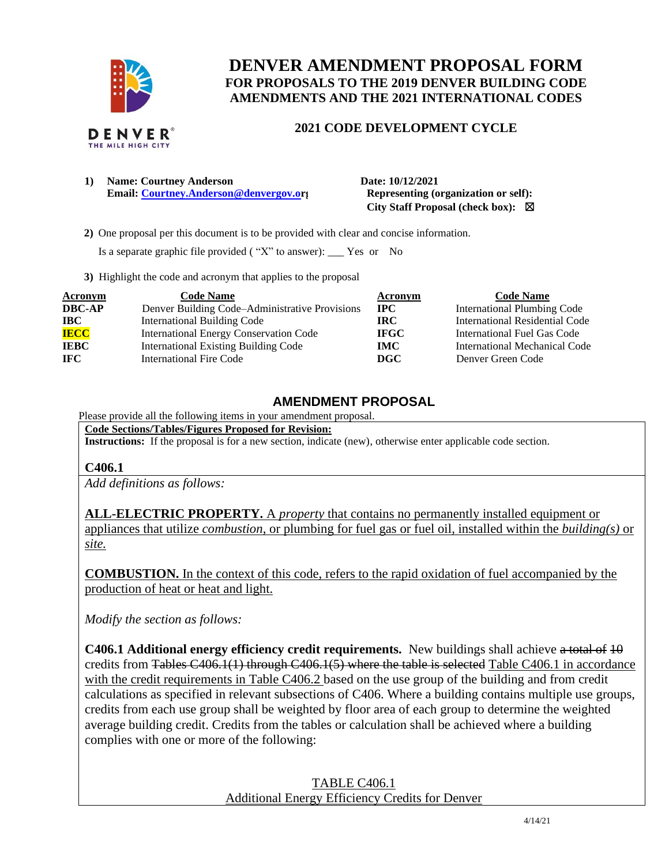

# **DENVER AMENDMENT PROPOSAL FORM FOR PROPOSALS TO THE 2019 DENVER BUILDING CODE AMENDMENTS AND THE 2021 INTERNATIONAL CODES**

### **2021 CODE DEVELOPMENT CYCLE**

**1) Name: Courtney Anderson Date: 10/12/2021 Email: [Courtney.Anderson@denvergov.or](mailto:Courtney.Anderson@denvergov.o)j** Representing (organization or self):

City Staff Proposal (check box): ⊠

 **2)** One proposal per this document is to be provided with clear and concise information.

Is a separate graphic file provided ( "X" to answer): \_\_\_ Yes or No

**3)** Highlight the code and acronym that applies to the proposal

| <b>Acronym</b> | <b>Code Name</b>                               | Acronym     | <b>Code Name</b>                   |
|----------------|------------------------------------------------|-------------|------------------------------------|
| <b>DBC-AP</b>  | Denver Building Code–Administrative Provisions | $\bf IPC$   | <b>International Plumbing Code</b> |
| <b>IBC</b>     | <b>International Building Code</b>             | IRC.        | International Residential Code     |
| <b>IECC</b>    | <b>International Energy Conservation Code</b>  | <b>IFGC</b> | International Fuel Gas Code        |
| <b>IEBC</b>    | <b>International Existing Building Code</b>    | <b>IMC</b>  | International Mechanical Code      |
| <b>IFC</b>     | International Fire Code                        | DGC         | Denver Green Code                  |

## **AMENDMENT PROPOSAL**

Please provide all the following items in your amendment proposal.

**Code Sections/Tables/Figures Proposed for Revision: Instructions:** If the proposal is for a new section, indicate (new), otherwise enter applicable code section.

### **C406.1**

*Add definitions as follows:*

**ALL-ELECTRIC PROPERTY.** A *property* that contains no permanently installed equipment or appliances that utilize *combustion*, or plumbing for fuel gas or fuel oil*,* installed within the *building(s)* or *site.*

**COMBUSTION.** In the context of this code, refers to the rapid oxidation of fuel accompanied by the production of heat or heat and light.

*Modify the section as follows:*

**C406.1 Additional energy efficiency credit requirements.** New buildings shall achieve a total of 10 credits from Tables C406.1(1) through C406.1(5) where the table is selected Table C406.1 in accordance with the credit requirements in Table C406.2 based on the use group of the building and from credit calculations as specified in relevant subsections of C406. Where a building contains multiple use groups, credits from each use group shall be weighted by floor area of each group to determine the weighted average building credit. Credits from the tables or calculation shall be achieved where a building complies with one or more of the following:

> TABLE C406.1 Additional Energy Efficiency Credits for Denver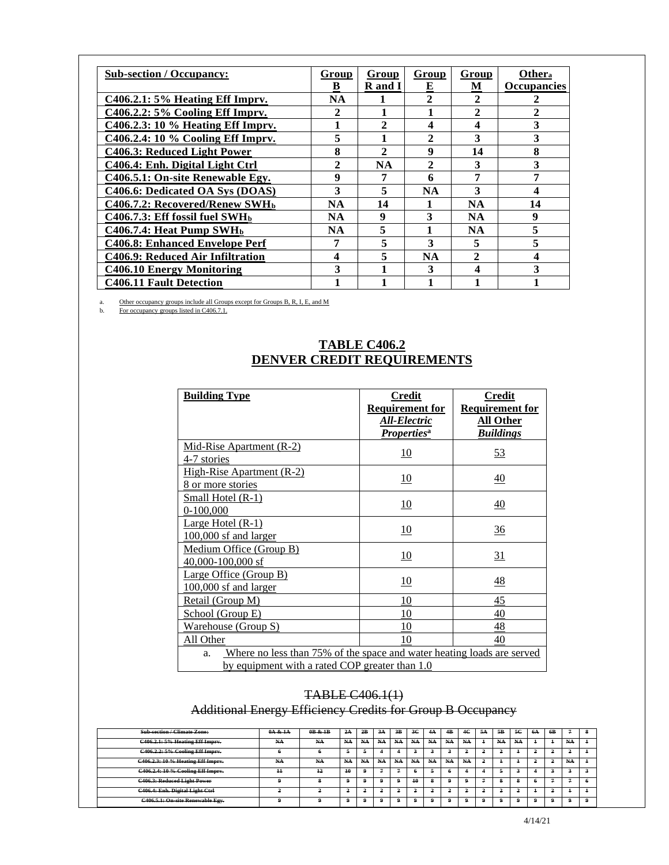| <b>Sub-section / Occupancy:</b>               | Group     | <b>Group</b> | <b>Group</b> | Group        | Other <sub>a</sub>    |
|-----------------------------------------------|-----------|--------------|--------------|--------------|-----------------------|
|                                               | B         | R and I      | E            | М            | <b>Occupancies</b>    |
| $C406.2.1: 5%$ Heating Eff Impry.             | <b>NA</b> |              | $\mathbf{2}$ | $\mathbf{2}$ | 2                     |
| $C406.2.2: 5\%$ Cooling Eff Imprv.            | 2         |              |              | $\mathbf{2}$ | $\mathcal{D}_{\cdot}$ |
| C406.2.3: 10 % Heating Eff Imprv.             | 1         | $\mathbf{2}$ | 4            | 4            | 3                     |
| $C406.2.4$ : 10 % Cooling Eff Imprv.          | 5         |              | 2            | 3            | 3                     |
| C406.3: Reduced Light Power                   | 8         | $\mathbf{2}$ | 9            | 14           | 8                     |
| C406.4: Enh. Digital Light Ctrl               | 2         | <b>NA</b>    | 2            | 3            | 3                     |
| C406.5.1: On-site Renewable Egy.              | 9         | 7            | 6            | 7            |                       |
| C406.6: Dedicated OA Sys (DOAS)               | 3         | 5            | <b>NA</b>    | 3            | 4                     |
| C406.7.2: Recovered/Renew SWH <sub>b</sub>    | <b>NA</b> | 14           |              | <b>NA</b>    | 14                    |
| $C406.7.3$ : Eff fossil fuel SWH <sub>b</sub> | <b>NA</b> | 9            | 3            | <b>NA</b>    | 9                     |
| C406.7.4: Heat Pump $SWH_b$                   | NA        | 5            |              | <b>NA</b>    | 5                     |
| <b>C406.8: Enhanced Envelope Perf</b>         | 7         | 5            | 3            | 5            | 5                     |
| C406.9: Reduced Air Infiltration              | 4         | 5            | <b>NA</b>    | $\mathbf{2}$ | 4                     |
| <b>C406.10 Energy Monitoring</b>              | 3         |              | 3            | 4            | 3                     |
| <b>C406.11 Fault Detection</b>                |           |              |              |              |                       |

a. Other occupancy groups include all Groups except for Groups B, R, I, E, and M<br>b. For occupancy groups listed in C406.7.1.

### **TABLE C406.2 DENVER CREDIT REQUIREMENTS**

| <b>Building Type</b>                                                         | <b>Credit</b>                          | <b>Credit</b>                              |
|------------------------------------------------------------------------------|----------------------------------------|--------------------------------------------|
|                                                                              | <b>Requirement for</b><br>All-Electric | <b>Requirement for</b><br><b>All Other</b> |
|                                                                              | <b>Properties</b> <sup>a</sup>         | <b>Buildings</b>                           |
| Mid-Rise Apartment (R-2)                                                     | 10                                     | 53                                         |
| 4-7 stories                                                                  |                                        |                                            |
| High-Rise Apartment (R-2)                                                    | 10                                     | $\overline{40}$                            |
| 8 or more stories                                                            |                                        |                                            |
| Small Hotel (R-1)                                                            | 10                                     | <u>40</u>                                  |
| 0-100,000                                                                    |                                        |                                            |
| Large Hotel (R-1)                                                            |                                        |                                            |
| $100,000$ sf and larger                                                      | 10                                     | $\frac{36}{5}$                             |
| Medium Office (Group B)                                                      |                                        |                                            |
| 40,000-100,000 sf                                                            | 10                                     | <u>31</u>                                  |
| Large Office (Group B)                                                       |                                        |                                            |
| 100,000 sf and larger                                                        | 10                                     | $\frac{48}{5}$                             |
| Retail (Group M)                                                             | 10                                     | 45                                         |
| School (Group E)                                                             | 10                                     | 40                                         |
| <u>Warehouse (Group S)</u>                                                   | 10                                     | 48                                         |
| All Other                                                                    | 10                                     | 40                                         |
| Where no less than 75% of the space and water heating loads are served<br>a. |                                        |                                            |
| by equipment with a rated COP greater than 1.0                               |                                        |                                            |

# TABLE C406.1(1)

Additional Energy Efficiency Credits for Group B Occupancy

| <b>Sub-section / Climate Zone:</b>     | 0A & 1A | 0B & 1B | 2A | 2R | 3 <sub>A</sub> | 3B | 3 <sup>c</sup> | 4A  | 4R | 4C | 5A | 5R | 50 | 6A | 6 <b>P</b> |    | я |
|----------------------------------------|---------|---------|----|----|----------------|----|----------------|-----|----|----|----|----|----|----|------------|----|---|
| <b>C406.2.1: 5% Heating Eff Imprv.</b> | NA      | NA      | NA | NA | NA             | NA | NA.            | NA. | NA | NA |    | NA | NA |    |            | NA |   |
| C406.2.2: 5% Cooling Eff Imprv.        |         |         |    |    |                |    |                |     |    |    |    |    |    |    |            |    |   |
| C406.2.3: 10 % Heating Eff Imprv.      | NA      | NA      | NA | NA | NA             | NA | NA.            | NA- | NA | NA |    |    |    |    |            | NA |   |
| C406.2.4: 10 % Cooling Eff Imprv.      | $+1$    | $^{12}$ | 10 |    |                |    |                |     |    |    |    |    |    |    |            |    |   |
| <b>C406.3: Reduced Light Power</b>     |         |         |    |    |                |    | 10             |     |    |    |    |    |    |    |            |    |   |
| C406.4: Enh. Digital Light Ctrl        |         |         | ÷  |    |                |    |                |     |    |    |    |    | ÷  |    | ÷          |    |   |
| C406.5.1: On-site Renewable Egy.       |         |         |    |    |                |    |                |     |    |    |    |    |    |    |            |    |   |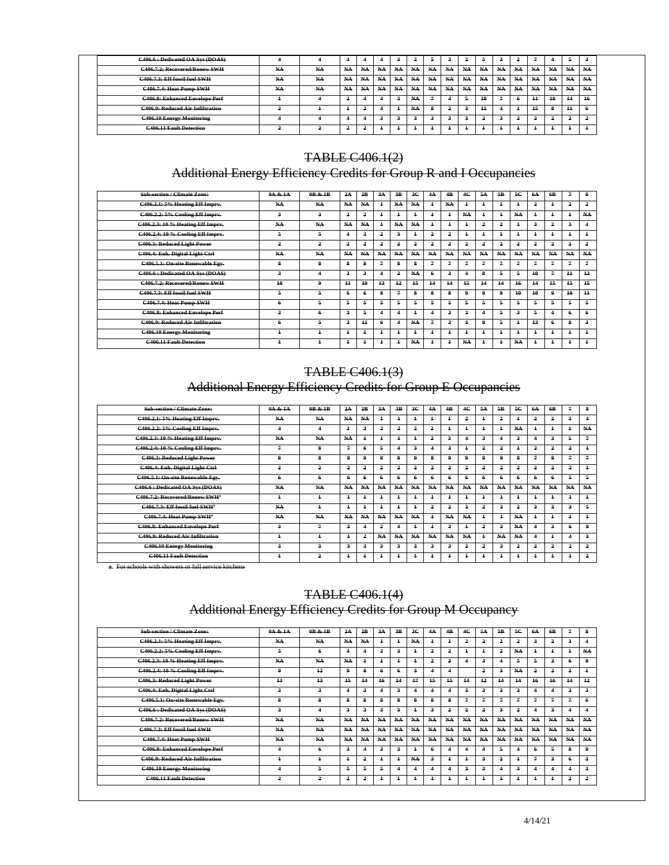| C406.6 : Dedicated OA Sys (DOAS)        |     |    |    |    |    |     |                |     |    |     |    |     |     |    |    |     |     |
|-----------------------------------------|-----|----|----|----|----|-----|----------------|-----|----|-----|----|-----|-----|----|----|-----|-----|
| C406.7.2: Recovered/Renew SWH-          | NA. | NA | NA | NA | NA | NA. | NA             | NA. | NA | NA. | NA | NA  | NA. | NA | NA | NA- | NA  |
| C406.7.3: Eff fossil fuel SWH           | NA  | NA | NA | NA | NA | NA  | NA<br>$\cdots$ | NA. | NA | NA  | NA | NA. | NA  | NA | NA | NA  | NA- |
| C406.7.4: Heat Pump SWH                 | NA  | NA | NA | NA | NA | NΑ  | NA             | NA. | NA | NA  | NA | NA  | NA  | NA | NA | NA  | NA  |
| <b>C406.8: Enhanced Envelope Perf</b>   |     |    |    |    |    |     |                |     |    |     |    |     |     |    | 10 | 14  | 46  |
| <b>C406.9: Reduced Air Infiltration</b> |     |    |    |    |    |     | NА             |     |    |     |    |     |     |    | я  |     |     |
| <b>C406.10 Energy Monitoring</b>        |     |    |    |    |    |     |                |     |    |     |    |     |     |    |    |     | ٠   |
| <b>C406.11 Fault Detection</b>          |     |    |    |    |    |     |                |     |    |     |    |     |     |    |    |     |     |

### TABLE C406.1(2)

Additional Energy Efficiency Credits for Group R and I Occupancies

| <b>Sub-section / Climate Zone:</b>      | 0A & 1A                 | 0B & 1B                 | 2A             | 2B              | 3A             | 3B                   | 3C             | 4A                      | 4B                   | 4C                      | 5A             | 5B                   | 5C                      | 6A                      | 6B                   | 7                       | 8                    |
|-----------------------------------------|-------------------------|-------------------------|----------------|-----------------|----------------|----------------------|----------------|-------------------------|----------------------|-------------------------|----------------|----------------------|-------------------------|-------------------------|----------------------|-------------------------|----------------------|
| C406.2.1: 5% Heating Eff Imprv.         | NA                      | NA-                     | NA.            | NA.             | $\overline{1}$ | NA.                  | NA.            | $\ddot{\phantom{1}}$    | NA                   | $\ddot{\phantom{1}}$    | $\overline{1}$ | $\ddot{\phantom{1}}$ | $\ddot{\phantom{1}}$    | $\overline{a}$          | $\overline{1}$       | $\overline{\mathbf{2}}$ | $\overline{a}$       |
| C406.2.2: 5% Cooling Eff Imprv.         | 3                       | 3                       | 2              | 2               | $\overline{1}$ | 4                    | 4              | $\ddagger$              |                      | NA.                     |                | $\ddot{\phantom{1}}$ | NA-                     | $\overline{1}$          | $\overline{1}$       | $\overline{1}$          | NA                   |
| C406.2.3: 10 % Heating Eff Imprv.       | NA                      | NA-                     | NA             | NA              | $\ddagger$     | NA                   | NA             | $\pm$                   | ÷                    | $\overline{1}$          | 2              | 2                    | $\ddagger$              | $\overline{\mathbf{3}}$ | 2                    | 3                       | 4                    |
| C406.2.4: 10 % Cooling Eff Imprv.       | 5.                      | 5                       | Δ              | з               | 2              | 3                    | 4              | 2                       | $\overline{a}$       | $\overline{1}$          |                | $\ddagger$           | $\ddagger$              | $\overline{1}$          | $\ddagger$           | $\ddot{\phantom{1}}$    | $\ddot{\phantom{1}}$ |
| <b>C406.3: Reduced Light Power</b>      | 2                       | $\overline{a}$          | $\overline{a}$ | 2               | 2              | 2                    | 2              | 2                       | $\overline{2}$       | $\overline{a}$          | 2              | 2                    | $\overline{2}$          | $\overline{a}$          | 2                    | $\overline{2}$          | 2                    |
| C406.4: Enh. Digital Light Ctrl         | NA                      | NA-                     | NA             | NA              | NA             | NA                   | NA             | NA                      | NA                   | NA                      | NA.            | NA                   | NA                      | NA                      | NA                   | NA                      | NA                   |
| C406.5.1: On-site Renewable Egy.        | 8                       | 8                       | 8              | 8               | 7              | 8                    | 8              | $\mathbf{z}$            | 7                    | $\overline{7}$          | 7              | 7                    | 7                       | $\overline{7}$          | 7                    | $\overline{r}$          | 7                    |
| C406.6 : Dedicated OA Sys (DOAS)        | 3                       | $\overline{\mathbf{4}}$ | 3              | з               | 4              | 2                    | NA.            | 6                       | $\overline{a}$       | $\overline{\mathbf{4}}$ | 8              | 5                    | 5                       | 10                      | 7                    | $\overline{11}$         | $+2$                 |
| C406.7.2: Recovered/Renew SWH-          | 10                      | 9                       | $+1$           | 10              | 13             | 12                   | 15             | 14                      | $+4$                 | 15                      | $+4$           | 14                   | 16                      | 14                      | $+5$                 | 45                      | $+5$                 |
| C406.7.3: Eff fossil fuel SWH           | 5                       | 5                       | 6              | 4               | 8              | 7                    | 8              | 8                       | 8                    | 9                       | 9              | 9                    | 10                      | 40                      | 9                    | 40                      | $\overline{11}$      |
| <b>C406.7.4: Heat Pump SWH</b>          | 6                       | 5                       | 5              | 5               | 5              | 5                    | 5              | 5.                      |                      | 5                       | 5              | 5                    | 5                       | 5                       | 5                    | 5                       | 5                    |
| <b>C406.8: Enhanced Envelope Perf</b>   | $\overline{\mathbf{3}}$ | 6                       | 3              | 5               | 4              | 4                    | $\overline{1}$ | $\overline{\mathbf{4}}$ | $\overline{a}$       | $\overline{a}$          |                | 5                    | $\overline{\mathbf{3}}$ | 5                       | 4                    | 6                       | 6                    |
| <b>C406.9: Reduced Air Infiltration</b> | 6                       | 5                       | 3              | $\overline{11}$ | 4              | 4                    | NA             | 7                       | 3                    | $\mathbf{a}$            | ₽              | 5                    |                         | $+3$                    | 6                    | 8                       | $\overline{a}$       |
| <b>C406.10 Energy Monitoring</b>        | $\ddagger$              | $\ddagger$              | $\ddagger$     | $\ddagger$      | $\ddagger$     | $\ddot{\phantom{1}}$ | $\overline{1}$ | $\pm$                   | $\ddot{\phantom{1}}$ | $\ddot{\phantom{1}}$    | $\overline{1}$ | $\ddagger$           | $\ddot{+}$              | $\overline{1}$          | $\ddot{\phantom{1}}$ | $\ddot{\phantom{1}}$    | $\ddot{\phantom{1}}$ |
| <b>C406.11 Fault Detection</b>          | $\mathbf{1}$            | $\ddagger$              | $\ddagger$     | $\ddagger$      | $\overline{1}$ | 4                    | NA.            | $\pm$                   |                      | NA.                     | $\overline{1}$ | $\ddagger$           | NA.                     | $\overline{1}$          | $\overline{1}$       | $\overline{1}$          | $\ddagger$           |

# TABLE C406.1(3)

## Additional Energy Efficiency Credits for Group E Occupancies

| <b>Sub-section/Climate Zone:</b>           | 0A & 1A    | 0B & 1B        | 2A             | 2B             | 34                   | 3B                      | $_{3C}$                 | 4A             | <b>4B</b>               | 4C             | 5A                   | 5B             | 5C                      | 6A             | 6B                   | 7                    | 8              |
|--------------------------------------------|------------|----------------|----------------|----------------|----------------------|-------------------------|-------------------------|----------------|-------------------------|----------------|----------------------|----------------|-------------------------|----------------|----------------------|----------------------|----------------|
| <b>C406.2.1: 5% Heating Eff Imprv.</b>     | NA         | NA             | NA             | NA.            | $\ddagger$           | $\ddot{\phantom{1}}$    | $\overline{1}$          | $\ddagger$     |                         | 2              |                      | 2              | $\ddagger$              | 2              | 2                    | 3                    | 4              |
| C406.2.2: 5% Cooling Eff Imprv.            | 4          | 4              | 3              | $\overline{a}$ | $\overline{a}$       | $\overline{a}$          | $\overline{a}$          | $\overline{a}$ | $\ddot{\phantom{1}}$    | $\ddagger$     | $\ddot{\phantom{1}}$ | $\ddagger$     | NA                      | $\overline{1}$ | $\ddot{\phantom{1}}$ | $\ddot{\phantom{1}}$ | NA             |
| C406.2.3: 10 % Heating Eff Imprv.          | NA         | NA             | NA.            | $\pm$          | $\pm$                | $\ddot{\phantom{1}}$    | $\pm$                   | 2              | 3                       | 4              | 3                    |                | з.                      | 4              | 3                    |                      | $\mathbf{z}$   |
| C406.2.4: 10 % Cooling Eff Imprv.          | 7          | 8              | $\overline{7}$ | 6              | 5                    | $\overline{\mathbf{4}}$ | $\overline{\mathbf{3}}$ | $\overline{4}$ | $\overline{a}$          | $\ddagger$     | 2                    | 2              | $\ddagger$              | 2              | 2                    | 2                    | $\ddagger$     |
| C406.3: Reduced Light Power                | 8          | 8              | 8              | 9              | 8                    | $\mathbf{a}$            | $\mathbf{a}$            | 8              | Ω.                      | 9              | 8                    | 9              | 8                       | 7              | 8                    | $\overline{7}$       | $\tau$         |
| C406.4: Enh. Digital Light Ctrl            | 2          | 2              | 2              | 2              | 2                    | 2                       | $\overline{a}$          | $\overline{a}$ | 2                       | 2              | 2                    | 2              | 2                       | $\overline{a}$ | 2                    | 2                    | $\ddagger$     |
| C406.5.1: On-site Renewable Egy.           | 6          | 6              | -6             | 6              |                      | 6                       | 6                       | 6              | 6.                      | 6              | 6.                   | 6              | 6                       | 6              | 6                    | 5                    | 5              |
| C406.6 : Dedicated OA Sys (DOAS)           | NA         | NA             | NA             | NA.            | NA.                  | NA                      | NA                      | NA             | NA.                     | N <sub>4</sub> | NA                   | NA             | NA-                     | NA             | NA                   | NA.                  | N <sub>A</sub> |
| C406.7.2: Recovered/Renew SWH*             | $\ddagger$ | $\ddagger$     | $\ddagger$     | $\ddagger$     | $\ddagger$           | $\ddagger$              | $\ddagger$              | $\pm$          | $\ddagger$              | $\ddagger$     | $\pm$                | $\ddagger$     | $\ddagger$              | $\ddagger$     | $\ddagger$           | $\ddagger$           | $\ddagger$     |
| C406.7.3: Eff fossil fuel SWH <sup>*</sup> | NA         | $\ddagger$     |                | $\ddagger$     | $\ddot{\phantom{1}}$ | $\ddot{\phantom{1}}$    | $\overline{1}$          | 2              | 2                       | 3              | 2                    | 3              | 2                       | 3              | 3                    | $\boldsymbol{3}$     | 5              |
| <b>C406.7.4: Heat Pump SWH*</b>            | NA         | NA             | NA             | NA.            | NA.                  | NA.                     | NA.                     | $\pm$          | NA                      | NA             | $\ddot{\phantom{1}}$ | $\ddagger$     | NA-                     | $\overline{1}$ | $\ddot{\phantom{1}}$ | $\ddot{\phantom{1}}$ | $\ddagger$     |
| <b>C406.8: Enhanced Envelope Perf</b>      | 3          | 7              | 3              | 4              | $\overline{a}$       | $\overline{\mathbf{4}}$ | $\ddot{\phantom{1}}$    | $\ddagger$     | 2                       | $\ddagger$     | 2                    | 3              | NA-                     | 4              | 3                    | 6                    | 9              |
| <b>C406.9: Reduced Air Infiltration</b>    | $\pm$      | $\ddagger$     | $\ddagger$     | 2              | NA.                  | NA.                     | NA.                     | NA-            | NA                      | NA             | $\ddagger$           | NA             | NA.                     | 4              | $\overline{1}$       |                      | 3              |
| <b>C406.10 Energy Monitoring</b>           | 3          | $\overline{a}$ | $\overline{a}$ | $\overline{a}$ | 3                    | $\overline{a}$          | $\boldsymbol{3}$        | $\overline{a}$ | $\overline{\mathbf{a}}$ | 2              | 2                    | $\overline{a}$ | $\overline{\mathbf{2}}$ | 2              | 2                    | $\overline{a}$       | 2              |
| <b>C406.11 Fault Detection</b>             | $\pm$      | $\overline{a}$ | $\ddagger$     | $\pm$          | $\ddagger$           | $\pm$                   | $\pm$                   | $\overline{1}$ |                         | $\mathbf{1}$   | $\pm$                | $\overline{1}$ | $\ddagger$              | $\ddagger$     | $\overline{1}$       |                      | 2              |

**a.** For schools with showers or full service kitchens

### TABLE C406.1(4)

## Additional Energy Efficiency Credits for Group M Occupancy

| <b>Sub-section / Climate Zone:</b>      | 0A & 1A                 | 0B & 1B        | 2A                      | 2B             | 3 <sub>A</sub> | 3B             | 3 <sup>2</sup> | 4A                      | 4B             | 4C                      | 5A                      | 5B                      | 5C                   | 6A                      | 6B             | 7              | 8              |
|-----------------------------------------|-------------------------|----------------|-------------------------|----------------|----------------|----------------|----------------|-------------------------|----------------|-------------------------|-------------------------|-------------------------|----------------------|-------------------------|----------------|----------------|----------------|
| <b>C406.2.1: 5% Heating Eff Imprv.</b>  | NA                      | NA             | NA.                     | NA             | $\ddagger$     | $\ddagger$     | NA-            | $\ddagger$              | ÷.             | 2                       | 2                       | $\overline{2}$          | 2                    | $\overline{\mathbf{3}}$ | 2              | $\mathbf{3}$   | $\overline{4}$ |
| C406.2.2: 5% Cooling Eff Imprv.         | 5.                      | 4              | $\overline{\mathbf{4}}$ | 4              | 3              | 3              | 4              | 2                       | 2              | $\overline{1}$          | $\pm$                   | $\overline{2}$          | NA                   | $\ddagger$              | $\ddagger$     | $\overline{1}$ | NA             |
| C406.2.3: 10 % Heating Eff Imprv.       | NA                      | NA             | NA.                     | $\overline{1}$ | $\ddagger$     | $\ddagger$     | ÷.             | 2                       | 2              |                         | з.                      | 4                       | 5.                   | 5                       | з              | 6              | 8              |
| C406.2.4: 10 % Cooling Eff Imprv.       | 9                       | $+2$           | $\mathbf{a}$            | 8              |                | 6              | 3              | $\overline{\mathbf{4}}$ |                |                         | $\overline{a}$          | $\overline{a}$          | NA-                  | $\overline{a}$          | 2              | $\overline{2}$ | $\ddagger$     |
| C406.3: Reduced Light Power             | $+3$                    | $+3$           | $+5$                    | 14             | 16             | 14             | 17             | $+5$                    | $+5$           | 14                      | $+2$                    | $+4$                    | 14                   | $+6$                    | 16             | 14             | $+2$           |
| C406.4: Enh. Digital Light Ctrl         | $\overline{\mathbf{3}}$ | $\overline{a}$ |                         | $\overline{a}$ |                | 3              |                | 4                       |                | 3                       | $\mathbf{a}$            | $\overline{a}$          | 3                    | 4                       | 4              | 3              | з.             |
| C406.5.1: On-site Renewable Egy.        | 8                       | 8              | 8                       | 8              | 8              | 8              | s              | 8                       | 8              | 7                       | 7                       | $\overline{7}$          | 7                    | $\overline{7}$          | 7              | 7              | 6              |
| C406.6 : Dedicated OA Sys (DOAS)        | $\overline{a}$          | $\overline{4}$ | $\overline{a}$          | $\overline{a}$ | 3              | 3              | 4              | 3                       | $\overline{a}$ | 2                       | 2                       | $\overline{\mathbf{3}}$ | 2                    | 4                       | 3              |                | $\overline{4}$ |
| C406.7.2: Recovered/Renew SWH           | NA                      | NA             | NA.                     | NA             | NA             | NA             | NA.            | NA.                     | NA             | NA                      | NA.                     | NA                      | NA-                  | NA                      | NA.            | NA.            | NA             |
| C406.7.3: Eff fossil fuel SWH           | NA                      | NA             | NA.                     | NA             | NA             | NA             | NA             | NA                      | NA             | NA                      | NA.                     | NA-                     | NA-                  | NA.                     | NA.            | NA.            | NA             |
| <b>C406.7.4: Heat Pump SWH</b>          | NA                      | NA             | NA.                     | NA.            | NA             | NA             | NA             | NA-                     | NA             | NA                      | NA.                     | NA-                     | NA-                  | NA                      | NA.            | NA.            | NA             |
| <b>C406.8: Enhanced Envelope Perf</b>   | 4                       | 6              | $\overline{a}$          | 4              | 3              | 3              | $\ddagger$     | 6                       |                | $\overline{\mathbf{4}}$ | $\overline{\mathbf{4}}$ | 5                       | 4                    | -6                      | 5              | 8              | 9              |
| <b>C406.9: Reduced Air Infiltration</b> | $\ddagger$              | $\overline{1}$ | $\ddot{\phantom{1}}$    | 2              | $\ddagger$     | $\overline{1}$ | NA-            | 3                       | $\ddagger$     | $\ddot{\phantom{1}}$    | $\overline{a}$          | $\overline{a}$          | $\ddot{\phantom{1}}$ | $\overline{7}$          | 3              | 6              | 3              |
| <b>C406.10 Energy Monitoring</b>        | 4                       | 5              | 5.                      | 5              |                | 4              |                | 4                       |                | 3                       | $\overline{a}$          | 4                       | 3                    | 4                       | 4              |                | 3              |
| <b>C406.11 Fault Detection</b>          | 2                       | $\overline{a}$ | 2                       | 2              | $\ddagger$     | $\overline{1}$ | $\mathbf{1}$   | $\ddagger$              | $\pm$          | $\pm$                   | $\pm$                   | $\ddagger$              | $\ddagger$           | $\overline{1}$          | $\overline{1}$ | $\overline{2}$ | 2              |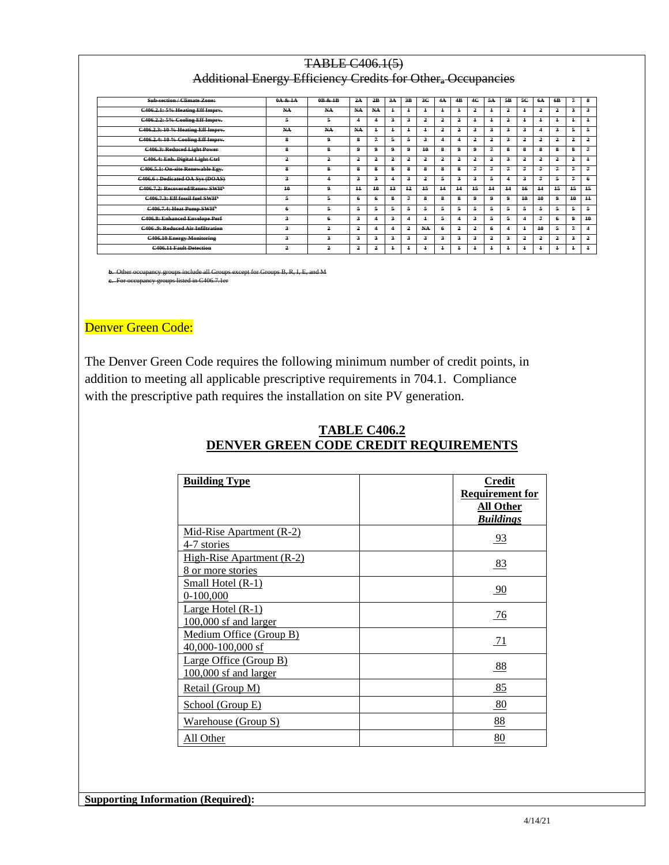## TABLE C406.1(5) Additional Energy Efficiency Credits for Other<sup>a</sup> Occupancies

| <b>Sub-section / Climate Zone:</b>         | 0A & 1A                 | 0R & 1R                 | 2A  | 2R               | 3A             | 3R                      | 3C             | 4A             | 4B                      | 4C                      | 5A         | 5B         | 5C             | 6A                      | 6 <b>B</b>     | $\mathcal{I}$        | 8              |
|--------------------------------------------|-------------------------|-------------------------|-----|------------------|----------------|-------------------------|----------------|----------------|-------------------------|-------------------------|------------|------------|----------------|-------------------------|----------------|----------------------|----------------|
| <b>C406.2.1: 5% Heating Eff Imprv.</b>     | NA-                     | NA.                     | NA. | NA               | $\ddagger$     | $\overline{1}$          | ÷              | ÷              | ÷                       | 2                       | ÷          | 2          |                | 2                       | $\overline{2}$ | з.                   | з              |
| C406.2.2: 5% Cooling Eff Imprv.            | 5                       | 5                       | 4   |                  | 3              | $\overline{\mathbf{3}}$ | 2              | 2              | 2                       | $\ddagger$              | $\ddagger$ | 2          | $\overline{1}$ | $\ddagger$              | $\ddagger$     | $\ddagger$           | $\ddagger$     |
| C406.2.3: 10 % Heating Eff Imprv.          | NA                      | NA                      | NA. | $\overline{1}$   | $\ddagger$     | $\overline{1}$          | $\overline{1}$ | $\overline{2}$ | 2                       | 3                       | з.         | 3          | э              | $\overline{\mathbf{4}}$ | 3              | 5.                   | 5              |
| C406.2.4: 10 % Cooling Eff Imprv.          | 8                       | 9                       | 8   | 7                | 5              | 5                       | $\overline{a}$ | 4              | 4                       | 2                       | 2          | 3          | 2              | 2                       | $\overline{2}$ | $\overline{2}$       | 2              |
| C406.3: Reduced Light Power                | 8                       | 8                       | 9   | 9                | 9              | 9                       | 40             | 8              | 9                       | 9                       | 7          | 8          | я              | 8                       | 8              | 8                    | 7              |
| C406.4: Enh. Digital Light Ctrl            | 2                       | $\overline{a}$          | 2   | $\overline{a}$   | 2              | $\overline{a}$          | 2              | $\overline{a}$ | 2                       | 2                       | 2          | 3          | 2              | $\overline{a}$          | $\overline{a}$ | $\overline{a}$       | $\ddagger$     |
| C406.5.1: On-site Renewable Egy.           | 8                       | 8                       | 8   | 8                | 8              | 8                       | 8              | 8              | 8                       | 7                       | 7          | 7          | 9              | 7                       | $\overline{r}$ | 7                    | 7              |
| C406.6 : Dedicated OA Sys (DOAS)           | $\overline{\mathbf{3}}$ | $\overline{\mathbf{4}}$ | 3   | $\boldsymbol{3}$ | 4              | $\mathbf{a}$            | 2              | 5              | $\overline{\mathbf{3}}$ | 3                       | 5.         | 4          | э              | 7                       | 5              | 7                    | 6              |
| C406.7.2: Recovered/Renew SWH <sup>+</sup> | 10                      | 9                       | 11  | 40               | $+3$           | 12                      | 15             | 44             | $\mathbf{H}$            | 45                      | 14         | 14         | 16             | 44                      | 15             | 15                   | $+5$           |
| C406.7.3: Eff fossil fuel SWH <sup>+</sup> | 5.                      | 5                       | 6   | -6               | 8              | $\overline{7}$          | 8              | 8              | 8                       | 9                       | 9.         | 9          | 10             | $+0$                    | 9              | 10                   | $+$            |
| C406.7.4: Heat Pump SWH <sup>*</sup>       | 6                       | 5                       | 5   | 5                | 5.             | 5                       | 5              | 5              | 5.                      | 5                       | 5.         | 5          | 5              | 5                       | 5              | 5.                   | 5              |
| <b>C406.8: Enhanced Envelope Perf</b>      | $\overline{\mathbf{3}}$ | 6                       | 3   |                  | $\overline{a}$ | 4                       | $\ddot{+}$     | 5              |                         | $\overline{\mathbf{3}}$ | 5.         | 5          |                | 7                       | 6              | 9                    | 10             |
| <b>C406 .9: Reduced Air Infiltration</b>   | $\overline{\mathbf{3}}$ | $\overline{2}$          | 2   |                  | 4              | $\overline{2}$          | NA             | 6              | $\overline{a}$          | 2                       | 6.         | 4          |                | 10                      | 5              | 7                    | $\overline{4}$ |
| <b>C406.10 Energy Monitoring</b>           | $\overline{\mathbf{3}}$ | 3                       | 3   | $\boldsymbol{3}$ | $\overline{a}$ | $\mathbf{a}$            | 3              | 3              | $\overline{\mathbf{3}}$ | 3                       | 2          | 3          | $\overline{a}$ | $\overline{2}$          | 2              | $\overline{a}$       | 2              |
| <b>C406.11 Fault Detection</b>             | $\overline{\mathbf{2}}$ | $\overline{2}$          | 2   | $\overline{a}$   | $\ddagger$     | $\overline{1}$          |                | $\overline{1}$ | $\ddagger$              | $\ddagger$              | $\ddagger$ | $\ddagger$ | $\overline{1}$ | $\ddagger$              | $\ddagger$     | $\ddot{\phantom{1}}$ | $\ddagger$     |

**b.** Other occupancy groups include all Groups except for Groups B, R, I, E, and M **c.** For occupancy groups listed in C406.7.1er

## Denver Green Code:

The Denver Green Code requires the following minimum number of credit points, in addition to meeting all applicable prescriptive requirements in 704.1. Compliance with the prescriptive path requires the installation on site PV generation.

| <b>Building Type</b>                            | <b>Credit</b><br><b>Requirement for</b><br><b>All Other</b><br><b>Buildings</b> |
|-------------------------------------------------|---------------------------------------------------------------------------------|
| Mid-Rise Apartment (R-2)<br>4-7 stories         | $\frac{93}{2}$                                                                  |
| High-Rise Apartment (R-2)<br>8 or more stories  | 83                                                                              |
| Small Hotel (R-1)<br>0-100,000                  | 90                                                                              |
| Large Hotel (R-1)<br>100,000 sf and larger      | $\frac{76}{ }$                                                                  |
| Medium Office (Group B)<br>40,000-100,000 sf    | 71                                                                              |
| Large Office (Group B)<br>100,000 sf and larger | 88                                                                              |
| Retail (Group M)                                | 85                                                                              |
| School (Group E)                                | 80                                                                              |
| <u>Warehouse (Group S)</u>                      | 88                                                                              |
| All Other                                       | 80                                                                              |

## **TABLE C406.2 DENVER GREEN CODE CREDIT REQUIREMENTS**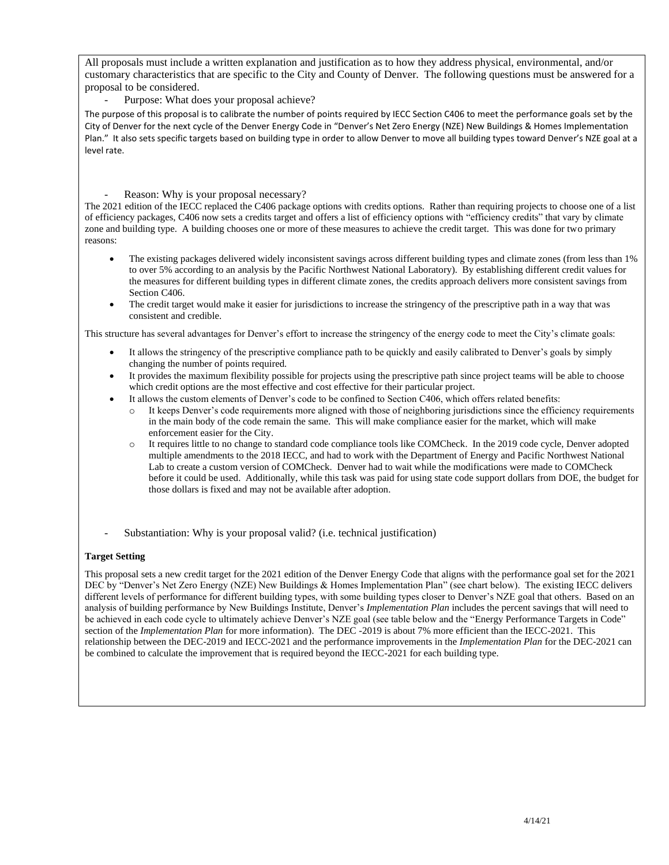All proposals must include a written explanation and justification as to how they address physical, environmental, and/or customary characteristics that are specific to the City and County of Denver. The following questions must be answered for a proposal to be considered.

Purpose: What does your proposal achieve?

The purpose of this proposal is to calibrate the number of points required by IECC Section C406 to meet the performance goals set by the City of Denver for the next cycle of the Denver Energy Code in "Denver's Net Zero Energy (NZE) New Buildings & Homes Implementation Plan." It also sets specific targets based on building type in order to allow Denver to move all building types toward Denver's NZE goal at a level rate.

Reason: Why is your proposal necessary?

The 2021 edition of the IECC replaced the C406 package options with credits options. Rather than requiring projects to choose one of a list of efficiency packages, C406 now sets a credits target and offers a list of efficiency options with "efficiency credits" that vary by climate zone and building type. A building chooses one or more of these measures to achieve the credit target. This was done for two primary reasons:

- The existing packages delivered widely inconsistent savings across different building types and climate zones (from less than 1% to over 5% according to an analysis by the Pacific Northwest National Laboratory). By establishing different credit values for the measures for different building types in different climate zones, the credits approach delivers more consistent savings from Section C406.
- The credit target would make it easier for jurisdictions to increase the stringency of the prescriptive path in a way that was consistent and credible.

This structure has several advantages for Denver's effort to increase the stringency of the energy code to meet the City's climate goals:

- It allows the stringency of the prescriptive compliance path to be quickly and easily calibrated to Denver's goals by simply changing the number of points required.
- It provides the maximum flexibility possible for projects using the prescriptive path since project teams will be able to choose which credit options are the most effective and cost effective for their particular project.
- It allows the custom elements of Denver's code to be confined to Section C406, which offers related benefits:
	- $\circ$  It keeps Denver's code requirements more aligned with those of neighboring jurisdictions since the efficiency requirements in the main body of the code remain the same. This will make compliance easier for the market, which will make enforcement easier for the City.
	- o It requires little to no change to standard code compliance tools like COMCheck. In the 2019 code cycle, Denver adopted multiple amendments to the 2018 IECC, and had to work with the Department of Energy and Pacific Northwest National Lab to create a custom version of COMCheck. Denver had to wait while the modifications were made to COMCheck before it could be used. Additionally, while this task was paid for using state code support dollars from DOE, the budget for those dollars is fixed and may not be available after adoption.
- Substantiation: Why is your proposal valid? (i.e. technical justification)

### **Target Setting**

This proposal sets a new credit target for the 2021 edition of the Denver Energy Code that aligns with the performance goal set for the 2021 DEC by "Denver's Net Zero Energy (NZE) New Buildings & Homes Implementation Plan" (see chart below). The existing IECC delivers different levels of performance for different building types, with some building types closer to Denver's NZE goal that others. Based on an analysis of building performance by New Buildings Institute, Denver's *Implementation Plan* includes the percent savings that will need to be achieved in each code cycle to ultimately achieve Denver's NZE goal (see table below and the "Energy Performance Targets in Code" section of the *Implementation Plan* for more information). The DEC -2019 is about 7% more efficient than the IECC-2021. This relationship between the DEC-2019 and IECC-2021 and the performance improvements in the *Implementation Plan* for the DEC-2021 can be combined to calculate the improvement that is required beyond the IECC-2021 for each building type.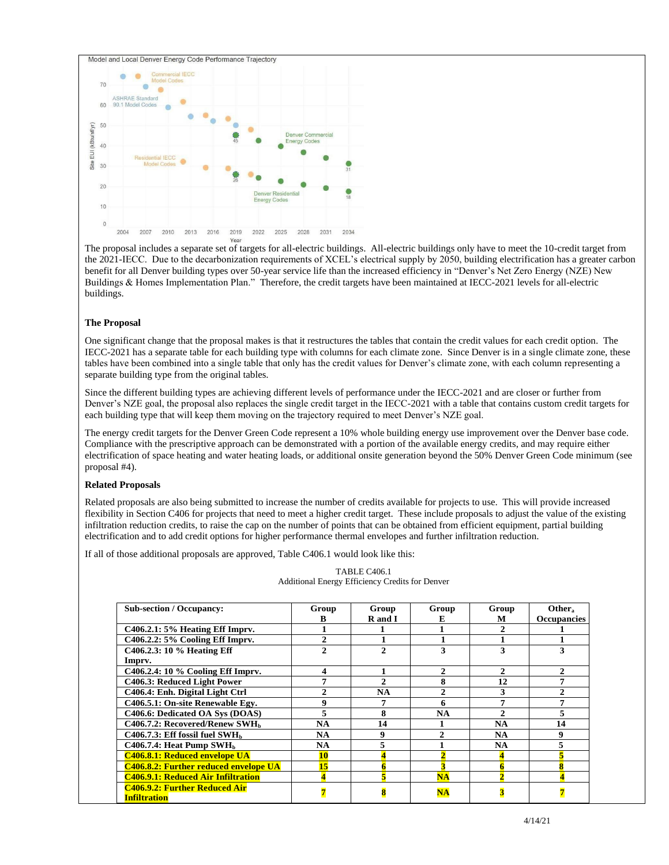

The proposal includes a separate set of targets for all-electric buildings. All-electric buildings only have to meet the 10-credit target from the 2021-IECC. Due to the decarbonization requirements of XCEL's electrical supply by 2050, building electrification has a greater carbon benefit for all Denver building types over 50-year service life than the increased efficiency in "Denver's Net Zero Energy (NZE) New Buildings & Homes Implementation Plan." Therefore, the credit targets have been maintained at IECC-2021 levels for all-electric buildings.

#### **The Proposal**

One significant change that the proposal makes is that it restructures the tables that contain the credit values for each credit option. The IECC-2021 has a separate table for each building type with columns for each climate zone. Since Denver is in a single climate zone, these tables have been combined into a single table that only has the credit values for Denver's climate zone, with each column representing a separate building type from the original tables.

Since the different building types are achieving different levels of performance under the IECC-2021 and are closer or further from Denver's NZE goal, the proposal also replaces the single credit target in the IECC-2021 with a table that contains custom credit targets for each building type that will keep them moving on the trajectory required to meet Denver's NZE goal.

The energy credit targets for the Denver Green Code represent a 10% whole building energy use improvement over the Denver base code. Compliance with the prescriptive approach can be demonstrated with a portion of the available energy credits, and may require either electrification of space heating and water heating loads, or additional onsite generation beyond the 50% Denver Green Code minimum (see proposal #4).

#### **Related Proposals**

Related proposals are also being submitted to increase the number of credits available for projects to use. This will provide increased flexibility in Section C406 for projects that need to meet a higher credit target. These include proposals to adjust the value of the existing infiltration reduction credits, to raise the cap on the number of points that can be obtained from efficient equipment, partial building electrification and to add credit options for higher performance thermal envelopes and further infiltration reduction.

If all of those additional proposals are approved, Table C406.1 would look like this:

|                                                             |              | Additional Energy Efficiency Credits for Denver |              |                        |                    |
|-------------------------------------------------------------|--------------|-------------------------------------------------|--------------|------------------------|--------------------|
| <b>Sub-section / Occupancy:</b>                             | Group        | Group                                           | Group        | Group                  | Other <sub>a</sub> |
|                                                             | B            | R and I                                         | E,           | M                      | <b>Occupancies</b> |
| $C406.2.1: 5%$ Heating Eff Imprv.                           |              |                                                 |              | $\mathcal{D}_{\alpha}$ |                    |
| C406.2.2: 5% Cooling Eff Imprv.                             | $\mathbf{2}$ |                                                 |              |                        |                    |
| C406.2.3: 10 % Heating Eff                                  | $\mathbf{2}$ | $\mathfrak{D}$                                  | 3            | 3                      | 3                  |
| Imprv.                                                      |              |                                                 |              |                        |                    |
| C406.2.4: 10 % Cooling Eff Imprv.                           | 4            |                                                 | 2            | 2                      | 2                  |
| C406.3: Reduced Light Power                                 |              | $\mathfrak{D}$                                  | 8            | 12                     | 7                  |
| C406.4: Enh. Digital Light Ctrl                             | $\mathbf{2}$ | <b>NA</b>                                       | $\mathbf{2}$ | 3                      | $\mathbf{2}$       |
| C406.5.1: On-site Renewable Egy.                            | 9            |                                                 | 6            | 7                      | 7                  |
| C406.6: Dedicated OA Sys (DOAS)                             | 5            | 8                                               | NA           | 2                      | 5                  |
| C406.7.2: Recovered/Renew SWH <sub>b</sub>                  | NA           | 14                                              |              | <b>NA</b>              | 14                 |
| $C406.7.3$ : Eff fossil fuel SWH <sub>b</sub>               | <b>NA</b>    | 9                                               | $\mathbf{2}$ | <b>NA</b>              | 9                  |
| C406.7.4: Heat Pump $SWHb$                                  | NA           | 5                                               |              | <b>NA</b>              | 5                  |
| <b>C406.8.1: Reduced envelope UA</b>                        | <b>10</b>    |                                                 |              |                        |                    |
| <b>C406.8.2: Further reduced envelope UA</b>                | 15           |                                                 |              |                        |                    |
| <b>C406.9.1: Reduced Air Infiltration</b>                   |              |                                                 | NA           |                        |                    |
| <b>C406.9.2: Further Reduced Air</b><br><b>Infiltration</b> |              |                                                 | $NA$         |                        |                    |

TABLE C406.1